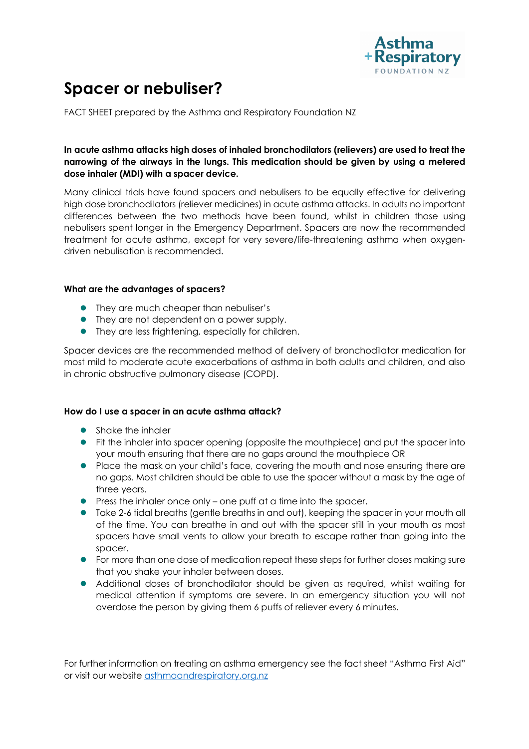

# **Spacer or nebuliser?**

FACT SHEET prepared by the Asthma and Respiratory Foundation NZ

# **In acute asthma attacks high doses of inhaled bronchodilators (relievers) are used to treat the narrowing of the airways in the lungs. This medication should be given by using a metered dose inhaler (MDI) with a spacer device.**

Many clinical trials have found spacers and nebulisers to be equally effective for delivering high dose bronchodilators (reliever medicines) in acute asthma attacks. In adults no important differences between the two methods have been found, whilst in children those using nebulisers spent longer in the Emergency Department. Spacers are now the recommended treatment for acute asthma, except for very severe/life-threatening asthma when oxygendriven nebulisation is recommended.

# **What are the advantages of spacers?**

- They are much cheaper than nebuliser's
- They are not dependent on a power supply.
- $\bullet$  They are less frightening, especially for children.

Spacer devices are the recommended method of delivery of bronchodilator medication for most mild to moderate acute exacerbations of asthma in both adults and children, and also in chronic obstructive pulmonary disease (COPD).

# **How do I use a spacer in an acute asthma attack?**

- **•** Shake the inhaler
- **•** Fit the inhaler into spacer opening (opposite the mouthpiece) and put the spacer into your mouth ensuring that there are no gaps around the mouthpiece OR
- Place the mask on your child's face, covering the mouth and nose ensuring there are no gaps. Most children should be able to use the spacer without a mask by the age of three years.
- $\bullet$  Press the inhaler once only one puff at a time into the spacer.
- **ID** Take 2-6 tidal breaths (gentle breaths in and out), keeping the spacer in your mouth all of the time. You can breathe in and out with the spacer still in your mouth as most spacers have small vents to allow your breath to escape rather than going into the spacer.
- For more than one dose of medication repeat these steps for further doses making sure that you shake your inhaler between doses.
- Additional doses of bronchodilator should be given as required, whilst waiting for medical attention if symptoms are severe. In an emergency situation you will not overdose the person by giving them 6 puffs of reliever every 6 minutes.

For further information on treating an asthma emergency see the fact sheet "Asthma First Aid" or visit our website asthmaandrespiratory.org.nz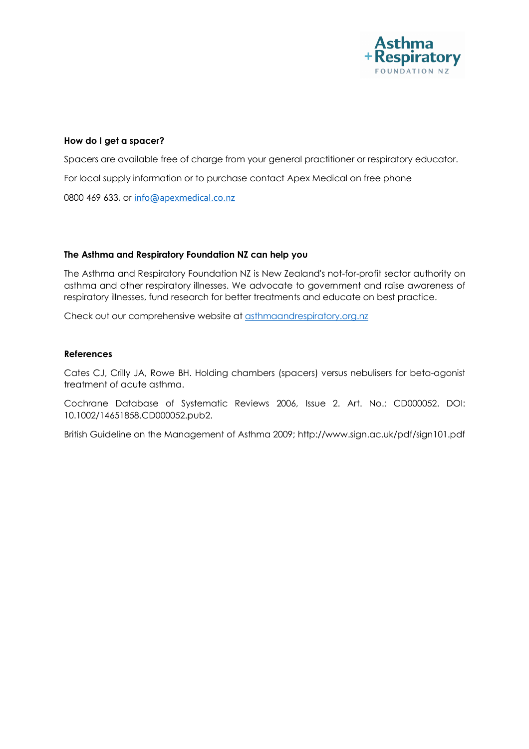

#### **How do I get a spacer?**

Spacers are available free of charge from your general practitioner or respiratory educator. For local supply information or to purchase contact Apex Medical on free phone 0800 469 633, or info@apexmedical.co.nz

#### **The Asthma and Respiratory Foundation NZ can help you**

The Asthma and Respiratory Foundation NZ is New Zealand's not-for-profit sector authority on asthma and other respiratory illnesses. We advocate to government and raise awareness of respiratory illnesses, fund research for better treatments and educate on best practice.

Check out our comprehensive website at asthmaandrespiratory.org.nz

#### **References**

Cates CJ, Crilly JA, Rowe BH. Holding chambers (spacers) versus nebulisers for beta-agonist treatment of acute asthma.

Cochrane Database of Systematic Reviews 2006, Issue 2. Art. No.: CD000052. DOI: 10.1002/14651858.CD000052.pub2.

British Guideline on the Management of Asthma 2009; http://www.sign.ac.uk/pdf/sign101.pdf